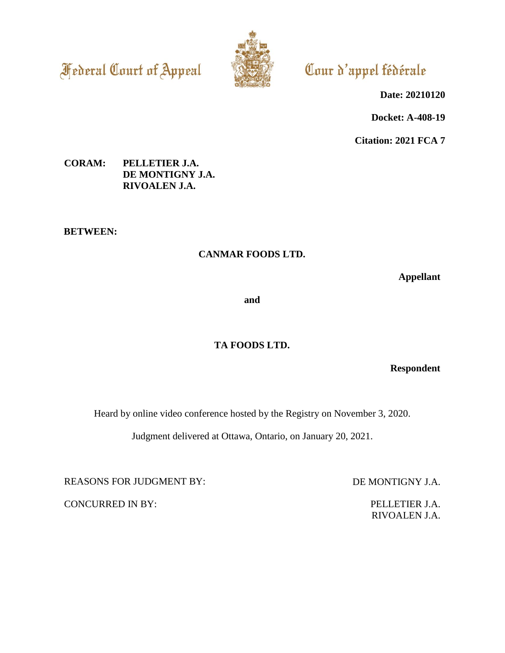**Federal Court of Appeal** 



# Cour d'appel fédérale

**Date: 20210120**

**Docket: A-408-19**

**Citation: 2021 FCA 7**

# **CORAM: PELLETIER J.A. DE MONTIGNY J.A. RIVOALEN J.A.**

**BETWEEN:**

# **CANMAR FOODS LTD.**

**Appellant**

**and**

# **TA FOODS LTD.**

**Respondent**

Heard by online video conference hosted by the Registry on November 3, 2020.

Judgment delivered at Ottawa, Ontario, on January 20, 2021.

REASONS FOR JUDGMENT BY: DE MONTIGNY J.A.

CONCURRED IN BY: PELLETIER J.A.

RIVOALEN J.A.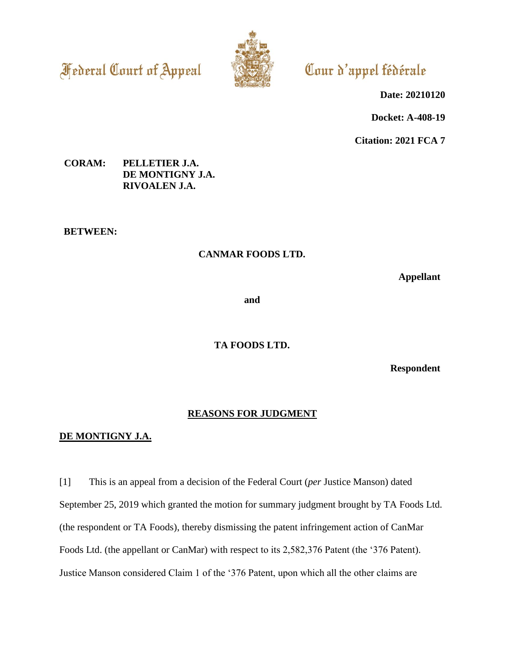**Federal Court of Appeal** 



# Cour d'appel fédérale

**Date: 20210120**

**Docket: A-408-19**

**Citation: 2021 FCA 7**

# **CORAM: PELLETIER J.A. DE MONTIGNY J.A. RIVOALEN J.A.**

**BETWEEN:**

# **CANMAR FOODS LTD.**

**Appellant**

**and**

**TA FOODS LTD.**

**Respondent**

#### **REASONS FOR JUDGMENT**

### **DE MONTIGNY J.A.**

[1] This is an appeal from a decision of the Federal Court (*per* Justice Manson) dated September 25, 2019 which granted the motion for summary judgment brought by TA Foods Ltd. (the respondent or TA Foods), thereby dismissing the patent infringement action of CanMar Foods Ltd. (the appellant or CanMar) with respect to its 2,582,376 Patent (the '376 Patent). Justice Manson considered Claim 1 of the '376 Patent, upon which all the other claims are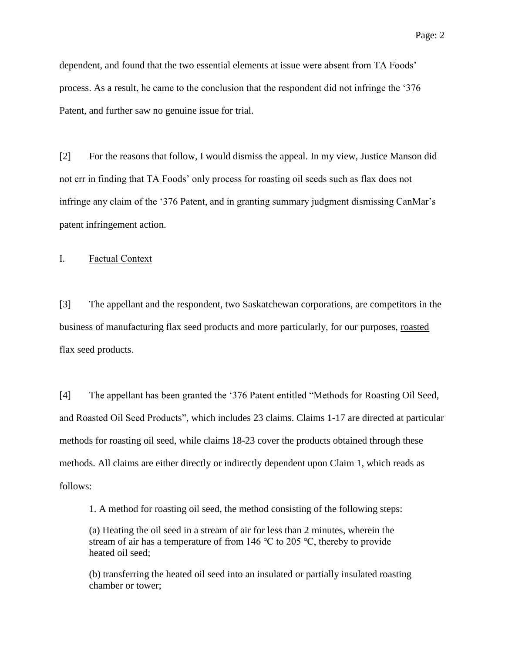dependent, and found that the two essential elements at issue were absent from TA Foods' process. As a result, he came to the conclusion that the respondent did not infringe the '376 Patent, and further saw no genuine issue for trial.

[2] For the reasons that follow, I would dismiss the appeal. In my view, Justice Manson did not err in finding that TA Foods' only process for roasting oil seeds such as flax does not infringe any claim of the '376 Patent, and in granting summary judgment dismissing CanMar's patent infringement action.

I. Factual Context

[3] The appellant and the respondent, two Saskatchewan corporations, are competitors in the business of manufacturing flax seed products and more particularly, for our purposes, roasted flax seed products.

[4] The appellant has been granted the '376 Patent entitled "Methods for Roasting Oil Seed, and Roasted Oil Seed Products", which includes 23 claims. Claims 1-17 are directed at particular methods for roasting oil seed, while claims 18-23 cover the products obtained through these methods. All claims are either directly or indirectly dependent upon Claim 1, which reads as follows:

1. A method for roasting oil seed, the method consisting of the following steps:

(a) Heating the oil seed in a stream of air for less than 2 minutes, wherein the stream of air has a temperature of from 146  $\degree$ C to 205  $\degree$ C, thereby to provide heated oil seed;

(b) transferring the heated oil seed into an insulated or partially insulated roasting chamber or tower;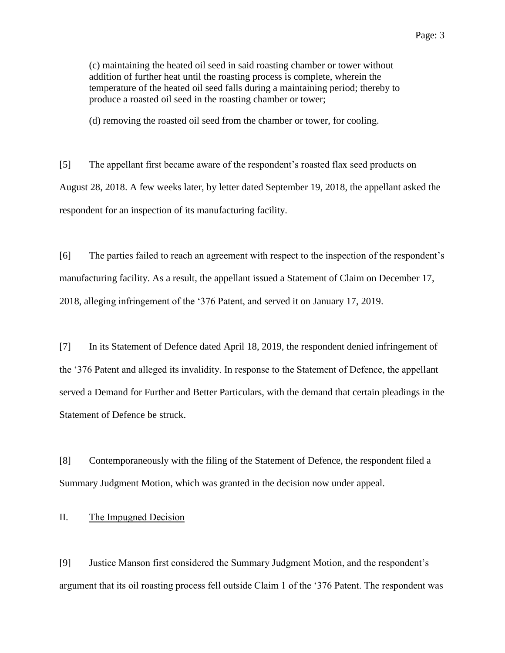(c) maintaining the heated oil seed in said roasting chamber or tower without addition of further heat until the roasting process is complete, wherein the temperature of the heated oil seed falls during a maintaining period; thereby to produce a roasted oil seed in the roasting chamber or tower;

(d) removing the roasted oil seed from the chamber or tower, for cooling.

[5] The appellant first became aware of the respondent's roasted flax seed products on August 28, 2018. A few weeks later, by letter dated September 19, 2018, the appellant asked the respondent for an inspection of its manufacturing facility.

[6] The parties failed to reach an agreement with respect to the inspection of the respondent's manufacturing facility. As a result, the appellant issued a Statement of Claim on December 17, 2018, alleging infringement of the '376 Patent, and served it on January 17, 2019.

[7] In its Statement of Defence dated April 18, 2019, the respondent denied infringement of the '376 Patent and alleged its invalidity. In response to the Statement of Defence, the appellant served a Demand for Further and Better Particulars, with the demand that certain pleadings in the Statement of Defence be struck.

[8] Contemporaneously with the filing of the Statement of Defence, the respondent filed a Summary Judgment Motion, which was granted in the decision now under appeal.

#### II. The Impugned Decision

[9] Justice Manson first considered the Summary Judgment Motion, and the respondent's argument that its oil roasting process fell outside Claim 1 of the '376 Patent. The respondent was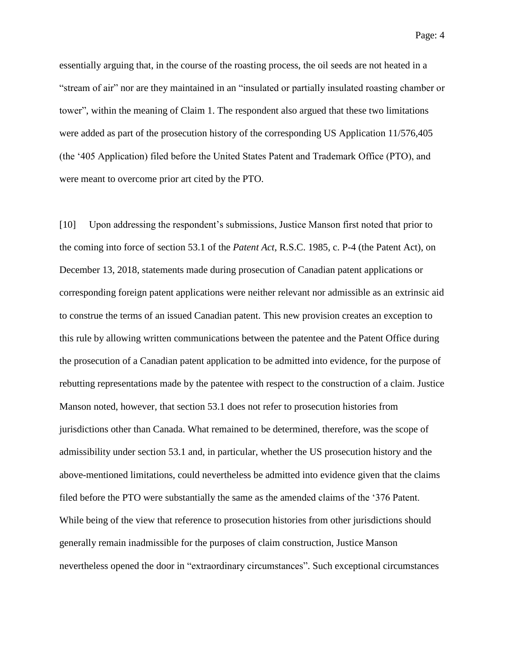essentially arguing that, in the course of the roasting process, the oil seeds are not heated in a "stream of air" nor are they maintained in an "insulated or partially insulated roasting chamber or tower", within the meaning of Claim 1. The respondent also argued that these two limitations were added as part of the prosecution history of the corresponding US Application 11/576,405 (the '405 Application) filed before the United States Patent and Trademark Office (PTO), and were meant to overcome prior art cited by the PTO.

[10] Upon addressing the respondent's submissions, Justice Manson first noted that prior to the coming into force of section 53.1 of the *Patent Act*, R.S.C. 1985, c. P-4 (the Patent Act), on December 13, 2018, statements made during prosecution of Canadian patent applications or corresponding foreign patent applications were neither relevant nor admissible as an extrinsic aid to construe the terms of an issued Canadian patent. This new provision creates an exception to this rule by allowing written communications between the patentee and the Patent Office during the prosecution of a Canadian patent application to be admitted into evidence, for the purpose of rebutting representations made by the patentee with respect to the construction of a claim. Justice Manson noted, however, that section 53.1 does not refer to prosecution histories from jurisdictions other than Canada. What remained to be determined, therefore, was the scope of admissibility under section 53.1 and, in particular, whether the US prosecution history and the above-mentioned limitations, could nevertheless be admitted into evidence given that the claims filed before the PTO were substantially the same as the amended claims of the '376 Patent. While being of the view that reference to prosecution histories from other jurisdictions should generally remain inadmissible for the purposes of claim construction, Justice Manson nevertheless opened the door in "extraordinary circumstances". Such exceptional circumstances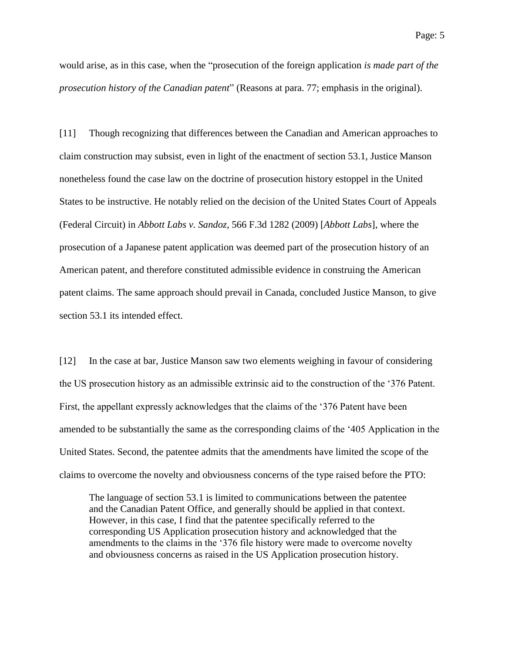would arise, as in this case, when the "prosecution of the foreign application *is made part of the prosecution history of the Canadian patent*" (Reasons at para. 77; emphasis in the original).

[11] Though recognizing that differences between the Canadian and American approaches to claim construction may subsist, even in light of the enactment of section 53.1, Justice Manson nonetheless found the case law on the doctrine of prosecution history estoppel in the United States to be instructive. He notably relied on the decision of the United States Court of Appeals (Federal Circuit) in *Abbott Labs v. Sandoz*, 566 F.3d 1282 (2009) [*Abbott Labs*], where the prosecution of a Japanese patent application was deemed part of the prosecution history of an American patent, and therefore constituted admissible evidence in construing the American patent claims. The same approach should prevail in Canada, concluded Justice Manson, to give section 53.1 its intended effect.

[12] In the case at bar, Justice Manson saw two elements weighing in favour of considering the US prosecution history as an admissible extrinsic aid to the construction of the '376 Patent. First, the appellant expressly acknowledges that the claims of the '376 Patent have been amended to be substantially the same as the corresponding claims of the '405 Application in the United States. Second, the patentee admits that the amendments have limited the scope of the claims to overcome the novelty and obviousness concerns of the type raised before the PTO:

The language of section 53.1 is limited to communications between the patentee and the Canadian Patent Office, and generally should be applied in that context. However, in this case, I find that the patentee specifically referred to the corresponding US Application prosecution history and acknowledged that the amendments to the claims in the '376 file history were made to overcome novelty and obviousness concerns as raised in the US Application prosecution history.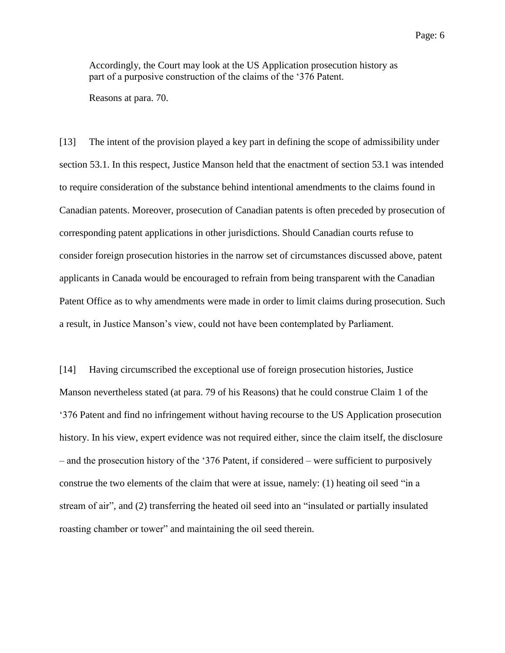Accordingly, the Court may look at the US Application prosecution history as part of a purposive construction of the claims of the '376 Patent.

Reasons at para. 70.

[13] The intent of the provision played a key part in defining the scope of admissibility under section 53.1. In this respect, Justice Manson held that the enactment of section 53.1 was intended to require consideration of the substance behind intentional amendments to the claims found in Canadian patents. Moreover, prosecution of Canadian patents is often preceded by prosecution of corresponding patent applications in other jurisdictions. Should Canadian courts refuse to consider foreign prosecution histories in the narrow set of circumstances discussed above, patent applicants in Canada would be encouraged to refrain from being transparent with the Canadian Patent Office as to why amendments were made in order to limit claims during prosecution. Such a result, in Justice Manson's view, could not have been contemplated by Parliament.

[14] Having circumscribed the exceptional use of foreign prosecution histories, Justice Manson nevertheless stated (at para. 79 of his Reasons) that he could construe Claim 1 of the '376 Patent and find no infringement without having recourse to the US Application prosecution history. In his view, expert evidence was not required either, since the claim itself, the disclosure – and the prosecution history of the '376 Patent, if considered – were sufficient to purposively construe the two elements of the claim that were at issue, namely: (1) heating oil seed "in a stream of air", and (2) transferring the heated oil seed into an "insulated or partially insulated roasting chamber or tower" and maintaining the oil seed therein.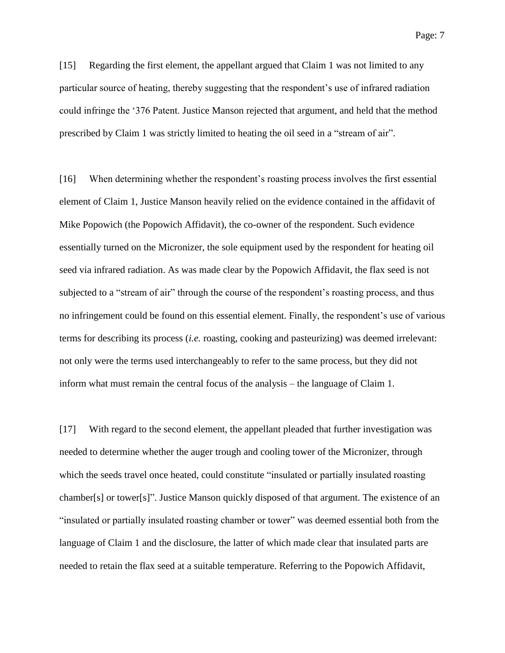[15] Regarding the first element, the appellant argued that Claim 1 was not limited to any particular source of heating, thereby suggesting that the respondent's use of infrared radiation could infringe the '376 Patent. Justice Manson rejected that argument, and held that the method prescribed by Claim 1 was strictly limited to heating the oil seed in a "stream of air".

[16] When determining whether the respondent's roasting process involves the first essential element of Claim 1, Justice Manson heavily relied on the evidence contained in the affidavit of Mike Popowich (the Popowich Affidavit), the co-owner of the respondent. Such evidence essentially turned on the Micronizer, the sole equipment used by the respondent for heating oil seed via infrared radiation. As was made clear by the Popowich Affidavit, the flax seed is not subjected to a "stream of air" through the course of the respondent's roasting process, and thus no infringement could be found on this essential element. Finally, the respondent's use of various terms for describing its process (*i.e.* roasting, cooking and pasteurizing) was deemed irrelevant: not only were the terms used interchangeably to refer to the same process, but they did not inform what must remain the central focus of the analysis – the language of Claim 1.

[17] With regard to the second element, the appellant pleaded that further investigation was needed to determine whether the auger trough and cooling tower of the Micronizer, through which the seeds travel once heated, could constitute "insulated or partially insulated roasting chamber[s] or tower[s]". Justice Manson quickly disposed of that argument. The existence of an "insulated or partially insulated roasting chamber or tower" was deemed essential both from the language of Claim 1 and the disclosure, the latter of which made clear that insulated parts are needed to retain the flax seed at a suitable temperature. Referring to the Popowich Affidavit,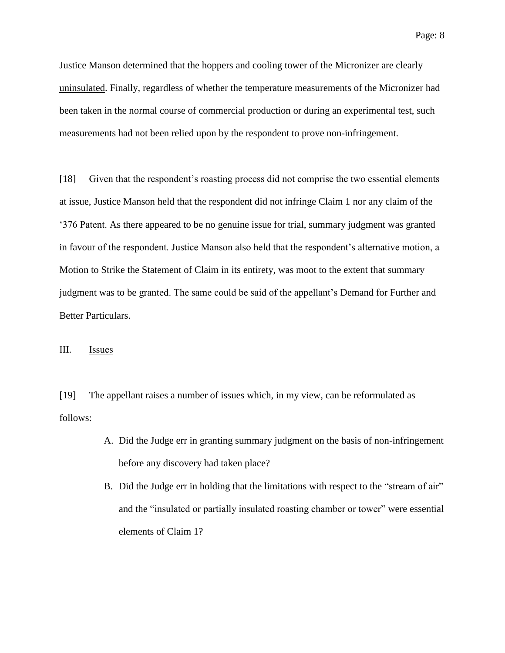Justice Manson determined that the hoppers and cooling tower of the Micronizer are clearly uninsulated. Finally, regardless of whether the temperature measurements of the Micronizer had been taken in the normal course of commercial production or during an experimental test, such measurements had not been relied upon by the respondent to prove non-infringement.

[18] Given that the respondent's roasting process did not comprise the two essential elements at issue, Justice Manson held that the respondent did not infringe Claim 1 nor any claim of the '376 Patent. As there appeared to be no genuine issue for trial, summary judgment was granted in favour of the respondent. Justice Manson also held that the respondent's alternative motion, a Motion to Strike the Statement of Claim in its entirety, was moot to the extent that summary judgment was to be granted. The same could be said of the appellant's Demand for Further and Better Particulars.

#### III. Issues

[19] The appellant raises a number of issues which, in my view, can be reformulated as follows:

- A. Did the Judge err in granting summary judgment on the basis of non-infringement before any discovery had taken place?
- B. Did the Judge err in holding that the limitations with respect to the "stream of air" and the "insulated or partially insulated roasting chamber or tower" were essential elements of Claim 1?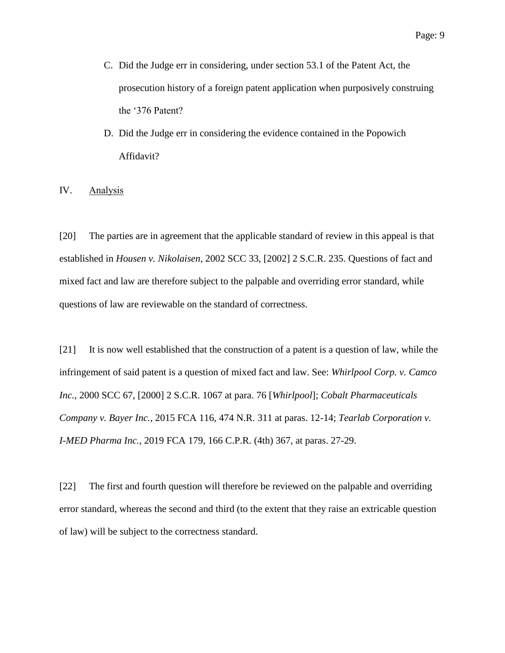- C. Did the Judge err in considering, under section 53.1 of the Patent Act, the prosecution history of a foreign patent application when purposively construing the '376 Patent?
- D. Did the Judge err in considering the evidence contained in the Popowich Affidavit?

IV. Analysis

[20] The parties are in agreement that the applicable standard of review in this appeal is that established in *Housen v. Nikolaisen*, 2002 SCC 33, [2002] 2 S.C.R. 235. Questions of fact and mixed fact and law are therefore subject to the palpable and overriding error standard, while questions of law are reviewable on the standard of correctness.

[21] It is now well established that the construction of a patent is a question of law, while the infringement of said patent is a question of mixed fact and law. See: *Whirlpool Corp. v. Camco Inc.*, 2000 SCC 67, [2000] 2 S.C.R. 1067 at para. 76 [*Whirlpool*]; *Cobalt Pharmaceuticals Company v. Bayer Inc.*, 2015 FCA 116, 474 N.R. 311 at paras. 12-14; *Tearlab Corporation v. I-MED Pharma Inc.*, 2019 FCA 179, 166 C.P.R. (4th) 367, at paras. 27-29.

[22] The first and fourth question will therefore be reviewed on the palpable and overriding error standard, whereas the second and third (to the extent that they raise an extricable question of law) will be subject to the correctness standard.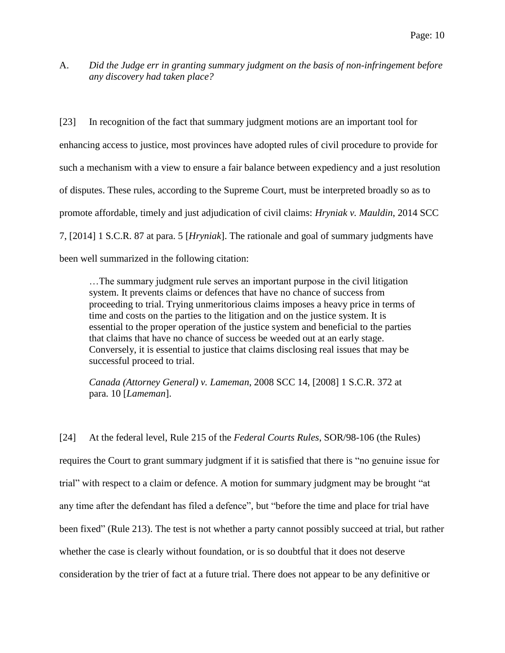A. *Did the Judge err in granting summary judgment on the basis of non-infringement before any discovery had taken place?*

[23] In recognition of the fact that summary judgment motions are an important tool for enhancing access to justice, most provinces have adopted rules of civil procedure to provide for such a mechanism with a view to ensure a fair balance between expediency and a just resolution of disputes. These rules, according to the Supreme Court, must be interpreted broadly so as to promote affordable, timely and just adjudication of civil claims: *Hryniak v. Mauldin*, 2014 SCC 7, [2014] 1 S.C.R. 87 at para. 5 [*Hryniak*]. The rationale and goal of summary judgments have been well summarized in the following citation:

…The summary judgment rule serves an important purpose in the civil litigation system. It prevents claims or defences that have no chance of success from proceeding to trial. Trying unmeritorious claims imposes a heavy price in terms of time and costs on the parties to the litigation and on the justice system. It is essential to the proper operation of the justice system and beneficial to the parties that claims that have no chance of success be weeded out at an early stage. Conversely, it is essential to justice that claims disclosing real issues that may be successful proceed to trial.

*Canada (Attorney General) v. Lameman*, 2008 SCC 14, [2008] 1 S.C.R. 372 at para. 10 [*Lameman*].

[24] At the federal level, Rule 215 of the *Federal Courts Rules*, SOR/98-106 (the Rules) requires the Court to grant summary judgment if it is satisfied that there is "no genuine issue for trial" with respect to a claim or defence. A motion for summary judgment may be brought "at any time after the defendant has filed a defence", but "before the time and place for trial have been fixed" (Rule 213). The test is not whether a party cannot possibly succeed at trial, but rather whether the case is clearly without foundation, or is so doubtful that it does not deserve consideration by the trier of fact at a future trial. There does not appear to be any definitive or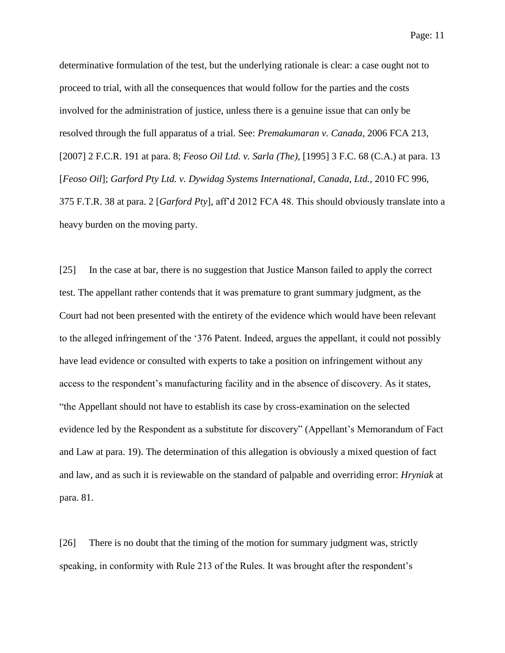determinative formulation of the test, but the underlying rationale is clear: a case ought not to proceed to trial, with all the consequences that would follow for the parties and the costs involved for the administration of justice, unless there is a genuine issue that can only be resolved through the full apparatus of a trial. See: *Premakumaran v. Canada*, 2006 FCA 213, [2007] 2 F.C.R. 191 at para. 8; *Feoso Oil Ltd. v. Sarla (The)*, [1995] 3 F.C. 68 (C.A.) at para. 13 [*Feoso Oil*]; *Garford Pty Ltd. v. Dywidag Systems International, Canada, Ltd.*, 2010 FC 996, 375 F.T.R. 38 at para. 2 [*Garford Pty*], aff'd 2012 FCA 48. This should obviously translate into a heavy burden on the moving party.

[25] In the case at bar, there is no suggestion that Justice Manson failed to apply the correct test. The appellant rather contends that it was premature to grant summary judgment, as the Court had not been presented with the entirety of the evidence which would have been relevant to the alleged infringement of the '376 Patent. Indeed, argues the appellant, it could not possibly have lead evidence or consulted with experts to take a position on infringement without any access to the respondent's manufacturing facility and in the absence of discovery. As it states, "the Appellant should not have to establish its case by cross-examination on the selected evidence led by the Respondent as a substitute for discovery" (Appellant's Memorandum of Fact and Law at para. 19). The determination of this allegation is obviously a mixed question of fact and law, and as such it is reviewable on the standard of palpable and overriding error: *Hryniak* at para. 81.

[26] There is no doubt that the timing of the motion for summary judgment was, strictly speaking, in conformity with Rule 213 of the Rules. It was brought after the respondent's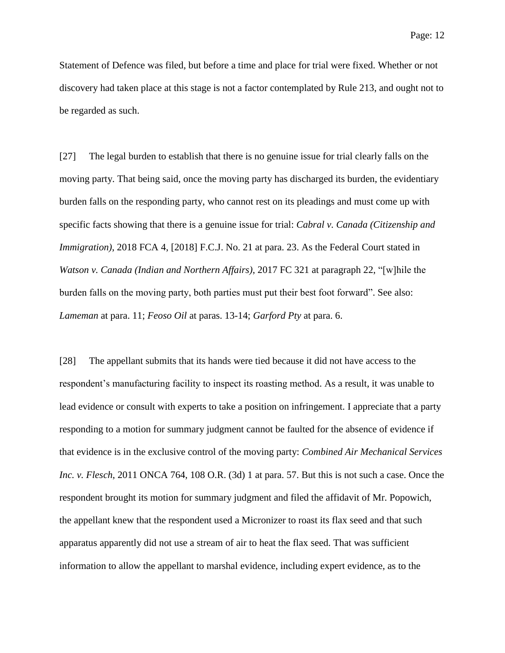Statement of Defence was filed, but before a time and place for trial were fixed. Whether or not discovery had taken place at this stage is not a factor contemplated by Rule 213, and ought not to be regarded as such.

[27] The legal burden to establish that there is no genuine issue for trial clearly falls on the moving party. That being said, once the moving party has discharged its burden, the evidentiary burden falls on the responding party, who cannot rest on its pleadings and must come up with specific facts showing that there is a genuine issue for trial: *Cabral v. Canada (Citizenship and Immigration*), 2018 FCA 4, [2018] F.C.J. No. 21 at para. 23. As the Federal Court stated in *Watson v. Canada (Indian and Northern Affairs)*, 2017 FC 321 at paragraph 22, "[w]hile the burden falls on the moving party, both parties must put their best foot forward". See also: *Lameman* at para. 11; *Feoso Oil* at paras. 13-14; *Garford Pty* at para. 6.

[28] The appellant submits that its hands were tied because it did not have access to the respondent's manufacturing facility to inspect its roasting method. As a result, it was unable to lead evidence or consult with experts to take a position on infringement. I appreciate that a party responding to a motion for summary judgment cannot be faulted for the absence of evidence if that evidence is in the exclusive control of the moving party: *Combined Air Mechanical Services Inc. v. Flesch*, 2011 ONCA 764, 108 O.R. (3d) 1 at para. 57. But this is not such a case. Once the respondent brought its motion for summary judgment and filed the affidavit of Mr. Popowich, the appellant knew that the respondent used a Micronizer to roast its flax seed and that such apparatus apparently did not use a stream of air to heat the flax seed. That was sufficient information to allow the appellant to marshal evidence, including expert evidence, as to the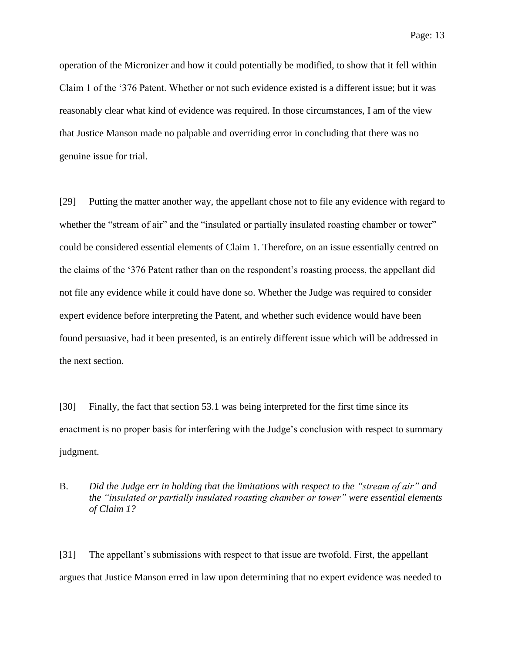operation of the Micronizer and how it could potentially be modified, to show that it fell within Claim 1 of the '376 Patent. Whether or not such evidence existed is a different issue; but it was reasonably clear what kind of evidence was required. In those circumstances, I am of the view that Justice Manson made no palpable and overriding error in concluding that there was no genuine issue for trial.

[29] Putting the matter another way, the appellant chose not to file any evidence with regard to whether the "stream of air" and the "insulated or partially insulated roasting chamber or tower" could be considered essential elements of Claim 1. Therefore, on an issue essentially centred on the claims of the '376 Patent rather than on the respondent's roasting process, the appellant did not file any evidence while it could have done so. Whether the Judge was required to consider expert evidence before interpreting the Patent, and whether such evidence would have been found persuasive, had it been presented, is an entirely different issue which will be addressed in the next section.

[30] Finally, the fact that section 53.1 was being interpreted for the first time since its enactment is no proper basis for interfering with the Judge's conclusion with respect to summary judgment.

# B. *Did the Judge err in holding that the limitations with respect to the "stream of air" and the "insulated or partially insulated roasting chamber or tower" were essential elements of Claim 1?*

[31] The appellant's submissions with respect to that issue are twofold. First, the appellant argues that Justice Manson erred in law upon determining that no expert evidence was needed to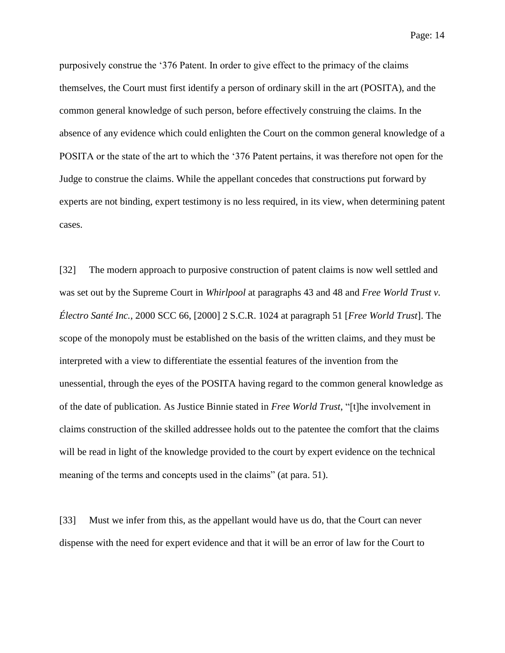purposively construe the '376 Patent. In order to give effect to the primacy of the claims themselves, the Court must first identify a person of ordinary skill in the art (POSITA), and the common general knowledge of such person, before effectively construing the claims. In the absence of any evidence which could enlighten the Court on the common general knowledge of a POSITA or the state of the art to which the '376 Patent pertains, it was therefore not open for the Judge to construe the claims. While the appellant concedes that constructions put forward by experts are not binding, expert testimony is no less required, in its view, when determining patent cases.

[32] The modern approach to purposive construction of patent claims is now well settled and was set out by the Supreme Court in *Whirlpool* at paragraphs 43 and 48 and *Free World Trust v. Électro Santé Inc.*, 2000 SCC 66, [2000] 2 S.C.R. 1024 at paragraph 51 [*Free World Trust*]. The scope of the monopoly must be established on the basis of the written claims, and they must be interpreted with a view to differentiate the essential features of the invention from the unessential, through the eyes of the POSITA having regard to the common general knowledge as of the date of publication. As Justice Binnie stated in *Free World Trust*, "[t]he involvement in claims construction of the skilled addressee holds out to the patentee the comfort that the claims will be read in light of the knowledge provided to the court by expert evidence on the technical meaning of the terms and concepts used in the claims" (at para. 51).

[33] Must we infer from this, as the appellant would have us do, that the Court can never dispense with the need for expert evidence and that it will be an error of law for the Court to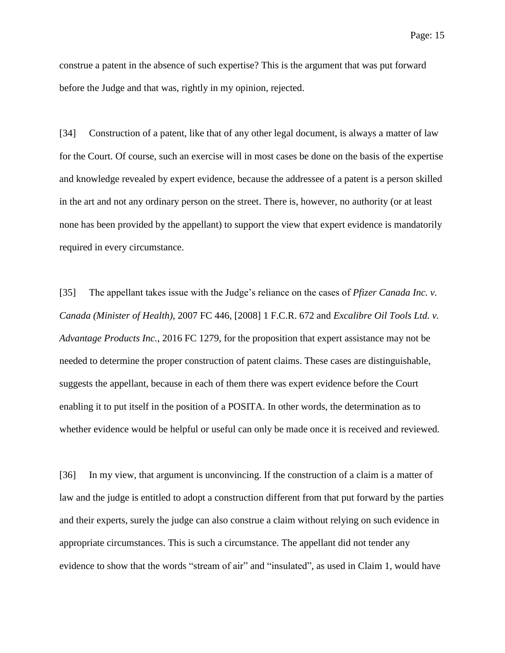construe a patent in the absence of such expertise? This is the argument that was put forward before the Judge and that was, rightly in my opinion, rejected.

[34] Construction of a patent, like that of any other legal document, is always a matter of law for the Court. Of course, such an exercise will in most cases be done on the basis of the expertise and knowledge revealed by expert evidence, because the addressee of a patent is a person skilled in the art and not any ordinary person on the street. There is, however, no authority (or at least none has been provided by the appellant) to support the view that expert evidence is mandatorily required in every circumstance.

[35] The appellant takes issue with the Judge's reliance on the cases of *Pfizer Canada Inc. v. Canada (Minister of Health)*, 2007 FC 446, [2008] 1 F.C.R. 672 and *Excalibre Oil Tools Ltd. v. Advantage Products Inc.*, 2016 FC 1279, for the proposition that expert assistance may not be needed to determine the proper construction of patent claims. These cases are distinguishable, suggests the appellant, because in each of them there was expert evidence before the Court enabling it to put itself in the position of a POSITA. In other words, the determination as to whether evidence would be helpful or useful can only be made once it is received and reviewed.

[36] In my view, that argument is unconvincing. If the construction of a claim is a matter of law and the judge is entitled to adopt a construction different from that put forward by the parties and their experts, surely the judge can also construe a claim without relying on such evidence in appropriate circumstances. This is such a circumstance. The appellant did not tender any evidence to show that the words "stream of air" and "insulated", as used in Claim 1, would have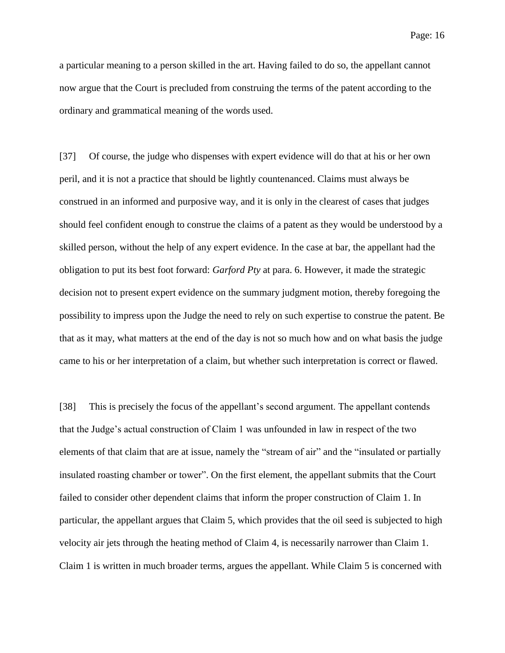a particular meaning to a person skilled in the art. Having failed to do so, the appellant cannot now argue that the Court is precluded from construing the terms of the patent according to the ordinary and grammatical meaning of the words used.

[37] Of course, the judge who dispenses with expert evidence will do that at his or her own peril, and it is not a practice that should be lightly countenanced. Claims must always be construed in an informed and purposive way, and it is only in the clearest of cases that judges should feel confident enough to construe the claims of a patent as they would be understood by a skilled person, without the help of any expert evidence. In the case at bar, the appellant had the obligation to put its best foot forward: *Garford Pty* at para. 6. However, it made the strategic decision not to present expert evidence on the summary judgment motion, thereby foregoing the possibility to impress upon the Judge the need to rely on such expertise to construe the patent. Be that as it may, what matters at the end of the day is not so much how and on what basis the judge came to his or her interpretation of a claim, but whether such interpretation is correct or flawed.

[38] This is precisely the focus of the appellant's second argument. The appellant contends that the Judge's actual construction of Claim 1 was unfounded in law in respect of the two elements of that claim that are at issue, namely the "stream of air" and the "insulated or partially insulated roasting chamber or tower". On the first element, the appellant submits that the Court failed to consider other dependent claims that inform the proper construction of Claim 1. In particular, the appellant argues that Claim 5, which provides that the oil seed is subjected to high velocity air jets through the heating method of Claim 4, is necessarily narrower than Claim 1. Claim 1 is written in much broader terms, argues the appellant. While Claim 5 is concerned with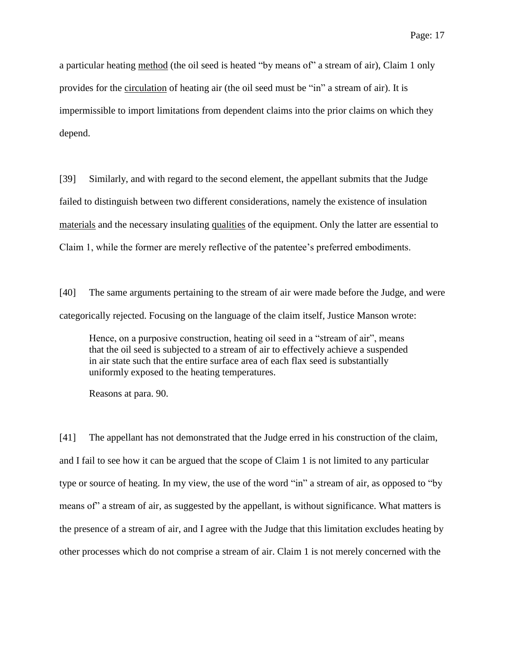a particular heating method (the oil seed is heated "by means of" a stream of air), Claim 1 only provides for the circulation of heating air (the oil seed must be "in" a stream of air). It is impermissible to import limitations from dependent claims into the prior claims on which they depend.

[39] Similarly, and with regard to the second element, the appellant submits that the Judge failed to distinguish between two different considerations, namely the existence of insulation materials and the necessary insulating qualities of the equipment. Only the latter are essential to Claim 1, while the former are merely reflective of the patentee's preferred embodiments.

[40] The same arguments pertaining to the stream of air were made before the Judge, and were categorically rejected. Focusing on the language of the claim itself, Justice Manson wrote:

Hence, on a purposive construction, heating oil seed in a "stream of air", means that the oil seed is subjected to a stream of air to effectively achieve a suspended in air state such that the entire surface area of each flax seed is substantially uniformly exposed to the heating temperatures.

Reasons at para. 90.

[41] The appellant has not demonstrated that the Judge erred in his construction of the claim, and I fail to see how it can be argued that the scope of Claim 1 is not limited to any particular type or source of heating. In my view, the use of the word "in" a stream of air, as opposed to "by means of" a stream of air, as suggested by the appellant, is without significance. What matters is the presence of a stream of air, and I agree with the Judge that this limitation excludes heating by other processes which do not comprise a stream of air. Claim 1 is not merely concerned with the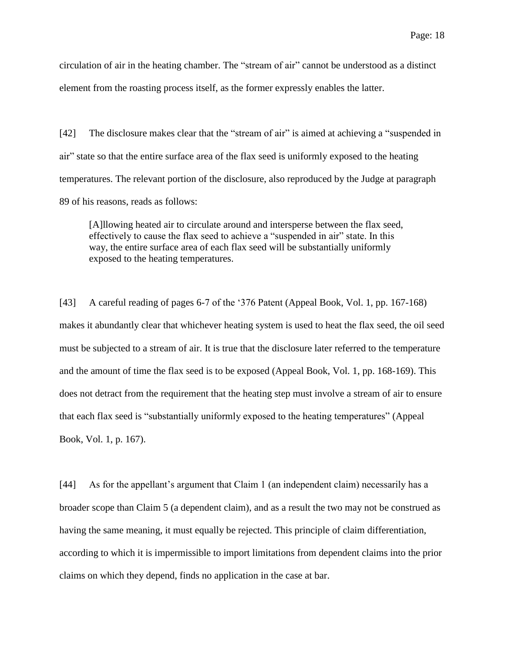circulation of air in the heating chamber. The "stream of air" cannot be understood as a distinct element from the roasting process itself, as the former expressly enables the latter.

[42] The disclosure makes clear that the "stream of air" is aimed at achieving a "suspended in air" state so that the entire surface area of the flax seed is uniformly exposed to the heating temperatures. The relevant portion of the disclosure, also reproduced by the Judge at paragraph 89 of his reasons, reads as follows:

[A]llowing heated air to circulate around and intersperse between the flax seed, effectively to cause the flax seed to achieve a "suspended in air" state. In this way, the entire surface area of each flax seed will be substantially uniformly exposed to the heating temperatures.

[43] A careful reading of pages 6-7 of the '376 Patent (Appeal Book, Vol. 1, pp. 167-168) makes it abundantly clear that whichever heating system is used to heat the flax seed, the oil seed must be subjected to a stream of air. It is true that the disclosure later referred to the temperature and the amount of time the flax seed is to be exposed (Appeal Book, Vol. 1, pp. 168-169). This does not detract from the requirement that the heating step must involve a stream of air to ensure that each flax seed is "substantially uniformly exposed to the heating temperatures" (Appeal Book, Vol. 1, p. 167).

[44] As for the appellant's argument that Claim 1 (an independent claim) necessarily has a broader scope than Claim 5 (a dependent claim), and as a result the two may not be construed as having the same meaning, it must equally be rejected. This principle of claim differentiation, according to which it is impermissible to import limitations from dependent claims into the prior claims on which they depend, finds no application in the case at bar.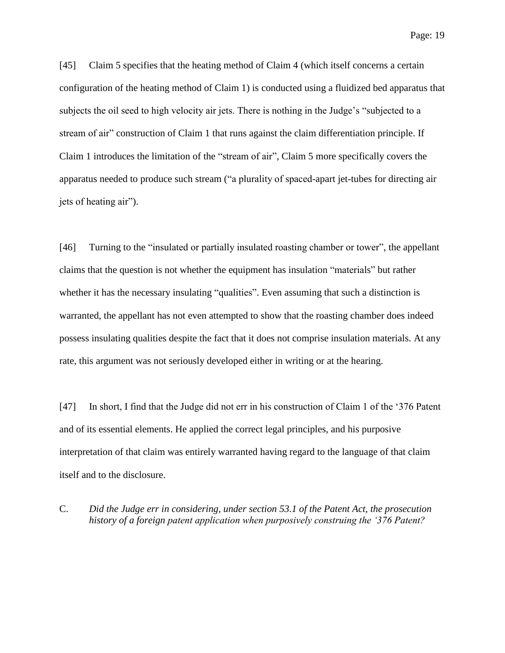[45] Claim 5 specifies that the heating method of Claim 4 (which itself concerns a certain configuration of the heating method of Claim 1) is conducted using a fluidized bed apparatus that subjects the oil seed to high velocity air jets. There is nothing in the Judge's "subjected to a stream of air" construction of Claim 1 that runs against the claim differentiation principle. If Claim 1 introduces the limitation of the "stream of air", Claim 5 more specifically covers the apparatus needed to produce such stream ("a plurality of spaced-apart jet-tubes for directing air jets of heating air").

[46] Turning to the "insulated or partially insulated roasting chamber or tower", the appellant claims that the question is not whether the equipment has insulation "materials" but rather whether it has the necessary insulating "qualities". Even assuming that such a distinction is warranted, the appellant has not even attempted to show that the roasting chamber does indeed possess insulating qualities despite the fact that it does not comprise insulation materials. At any rate, this argument was not seriously developed either in writing or at the hearing.

[47] In short, I find that the Judge did not err in his construction of Claim 1 of the '376 Patent and of its essential elements. He applied the correct legal principles, and his purposive interpretation of that claim was entirely warranted having regard to the language of that claim itself and to the disclosure.

C. *Did the Judge err in considering, under section 53.1 of the Patent Act, the prosecution history of a foreign patent application when purposively construing the '376 Patent?*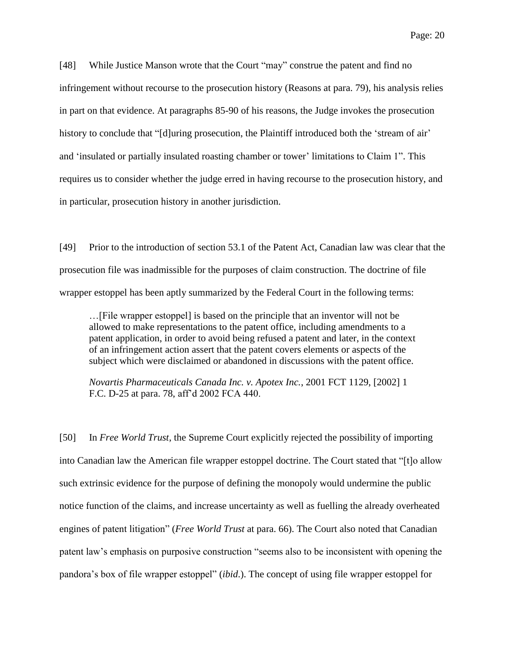[48] While Justice Manson wrote that the Court "may" construe the patent and find no infringement without recourse to the prosecution history (Reasons at para. 79), his analysis relies in part on that evidence. At paragraphs 85-90 of his reasons, the Judge invokes the prosecution history to conclude that "[d]uring prosecution, the Plaintiff introduced both the 'stream of air' and 'insulated or partially insulated roasting chamber or tower' limitations to Claim 1". This requires us to consider whether the judge erred in having recourse to the prosecution history, and in particular, prosecution history in another jurisdiction.

[49] Prior to the introduction of section 53.1 of the Patent Act, Canadian law was clear that the prosecution file was inadmissible for the purposes of claim construction. The doctrine of file wrapper estoppel has been aptly summarized by the Federal Court in the following terms:

…[File wrapper estoppel] is based on the principle that an inventor will not be allowed to make representations to the patent office, including amendments to a patent application, in order to avoid being refused a patent and later, in the context of an infringement action assert that the patent covers elements or aspects of the subject which were disclaimed or abandoned in discussions with the patent office.

*Novartis Pharmaceuticals Canada Inc. v. Apotex Inc.*, 2001 FCT 1129, [2002] 1 F.C. D-25 at para. 78, aff'd 2002 FCA 440.

[50] In *Free World Trust*, the Supreme Court explicitly rejected the possibility of importing into Canadian law the American file wrapper estoppel doctrine. The Court stated that "[t]o allow such extrinsic evidence for the purpose of defining the monopoly would undermine the public notice function of the claims, and increase uncertainty as well as fuelling the already overheated engines of patent litigation" (*Free World Trust* at para. 66). The Court also noted that Canadian patent law's emphasis on purposive construction "seems also to be inconsistent with opening the pandora's box of file wrapper estoppel" (*ibid*.). The concept of using file wrapper estoppel for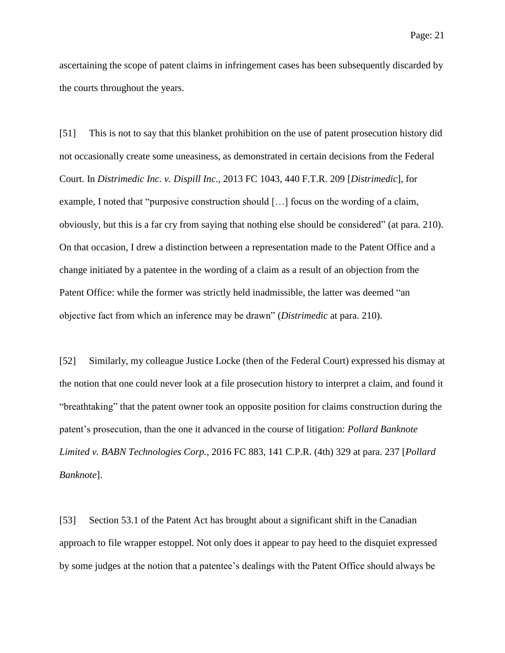ascertaining the scope of patent claims in infringement cases has been subsequently discarded by the courts throughout the years.

[51] This is not to say that this blanket prohibition on the use of patent prosecution history did not occasionally create some uneasiness, as demonstrated in certain decisions from the Federal Court. In *Distrimedic Inc. v. Dispill Inc.*, 2013 FC 1043, 440 F.T.R. 209 [*Distrimedic*], for example, I noted that "purposive construction should […] focus on the wording of a claim, obviously, but this is a far cry from saying that nothing else should be considered" (at para. 210). On that occasion, I drew a distinction between a representation made to the Patent Office and a change initiated by a patentee in the wording of a claim as a result of an objection from the Patent Office: while the former was strictly held inadmissible, the latter was deemed "an objective fact from which an inference may be drawn" (*Distrimedic* at para. 210).

[52] Similarly, my colleague Justice Locke (then of the Federal Court) expressed his dismay at the notion that one could never look at a file prosecution history to interpret a claim, and found it "breathtaking" that the patent owner took an opposite position for claims construction during the patent's prosecution, than the one it advanced in the course of litigation: *Pollard Banknote Limited v. BABN Technologies Corp.*, 2016 FC 883, 141 C.P.R. (4th) 329 at para. 237 [*Pollard Banknote*].

[53] Section 53.1 of the Patent Act has brought about a significant shift in the Canadian approach to file wrapper estoppel. Not only does it appear to pay heed to the disquiet expressed by some judges at the notion that a patentee's dealings with the Patent Office should always be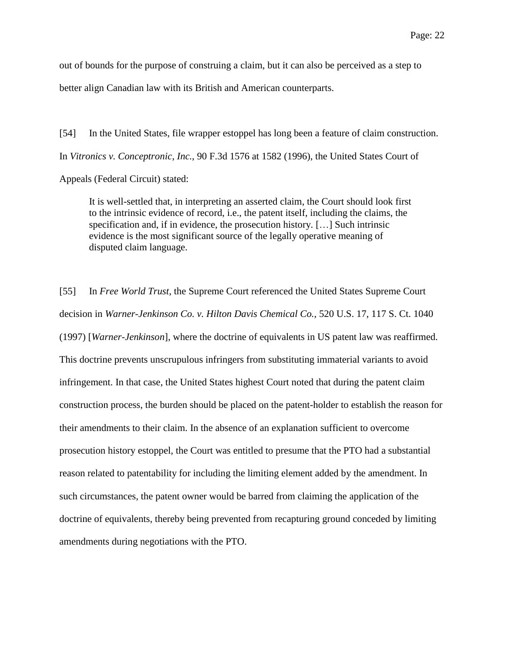out of bounds for the purpose of construing a claim, but it can also be perceived as a step to better align Canadian law with its British and American counterparts.

[54] In the United States, file wrapper estoppel has long been a feature of claim construction. In *Vitronics v. Conceptronic, Inc.*, 90 F.3d 1576 at 1582 (1996), the United States Court of Appeals (Federal Circuit) stated:

It is well-settled that, in interpreting an asserted claim, the Court should look first to the intrinsic evidence of record, i.e., the patent itself, including the claims, the specification and, if in evidence, the prosecution history. […] Such intrinsic evidence is the most significant source of the legally operative meaning of disputed claim language.

[55] In *Free World Trust*, the Supreme Court referenced the United States Supreme Court decision in *Warner-Jenkinson Co. v. Hilton Davis Chemical Co.*, 520 U.S. 17, 117 S. Ct. 1040 (1997) [*Warner-Jenkinson*], where the doctrine of equivalents in US patent law was reaffirmed. This doctrine prevents unscrupulous infringers from substituting immaterial variants to avoid infringement. In that case, the United States highest Court noted that during the patent claim construction process, the burden should be placed on the patent-holder to establish the reason for their amendments to their claim. In the absence of an explanation sufficient to overcome prosecution history estoppel, the Court was entitled to presume that the PTO had a substantial reason related to patentability for including the limiting element added by the amendment. In such circumstances, the patent owner would be barred from claiming the application of the doctrine of equivalents, thereby being prevented from recapturing ground conceded by limiting amendments during negotiations with the PTO.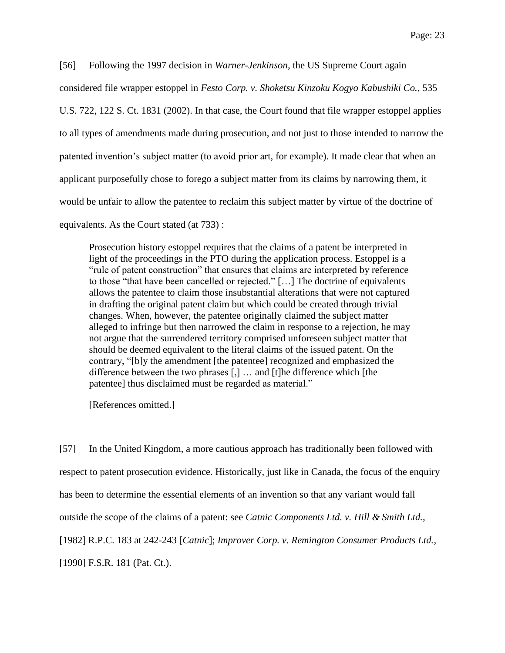[56] Following the 1997 decision in *Warner-Jenkinson*, the US Supreme Court again considered file wrapper estoppel in *Festo Corp. v. Shoketsu Kinzoku Kogyo Kabushiki Co.*, 535 U.S. 722, 122 S. Ct. 1831 (2002). In that case, the Court found that file wrapper estoppel applies to all types of amendments made during prosecution, and not just to those intended to narrow the patented invention's subject matter (to avoid prior art, for example). It made clear that when an applicant purposefully chose to forego a subject matter from its claims by narrowing them, it would be unfair to allow the patentee to reclaim this subject matter by virtue of the doctrine of equivalents. As the Court stated (at 733) :

Prosecution history estoppel requires that the claims of a patent be interpreted in light of the proceedings in the PTO during the application process. Estoppel is a "rule of patent construction" that ensures that claims are interpreted by reference to those "that have been cancelled or rejected." […] The doctrine of equivalents allows the patentee to claim those insubstantial alterations that were not captured in drafting the original patent claim but which could be created through trivial changes. When, however, the patentee originally claimed the subject matter alleged to infringe but then narrowed the claim in response to a rejection, he may not argue that the surrendered territory comprised unforeseen subject matter that should be deemed equivalent to the literal claims of the issued patent. On the contrary, "[b]y the amendment [the patentee] recognized and emphasized the difference between the two phrases [,] … and [t]he difference which [the patentee] thus disclaimed must be regarded as material."

[References omitted.]

[57] In the United Kingdom, a more cautious approach has traditionally been followed with respect to patent prosecution evidence. Historically, just like in Canada, the focus of the enquiry has been to determine the essential elements of an invention so that any variant would fall outside the scope of the claims of a patent: see *Catnic Components Ltd. v. Hill & Smith Ltd.*, [1982] R.P.C. 183 at 242-243 [*Catnic*]; *Improver Corp. v. Remington Consumer Products Ltd.*, [1990] F.S.R. 181 (Pat. Ct.).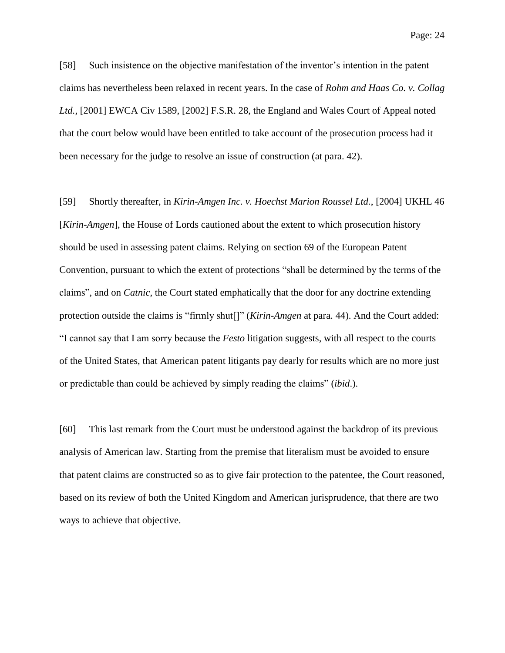[58] Such insistence on the objective manifestation of the inventor's intention in the patent claims has nevertheless been relaxed in recent years. In the case of *Rohm and Haas Co. v. Collag Ltd.*, [2001] EWCA Civ 1589, [2002] F.S.R. 28, the England and Wales Court of Appeal noted that the court below would have been entitled to take account of the prosecution process had it been necessary for the judge to resolve an issue of construction (at para. 42).

[59] Shortly thereafter, in *Kirin-Amgen Inc. v. Hoechst Marion Roussel Ltd.*, [2004] UKHL 46 [*Kirin-Amgen*], the House of Lords cautioned about the extent to which prosecution history should be used in assessing patent claims. Relying on section 69 of the European Patent Convention, pursuant to which the extent of protections "shall be determined by the terms of the claims", and on *Catnic*, the Court stated emphatically that the door for any doctrine extending protection outside the claims is "firmly shut[]" (*Kirin-Amgen* at para. 44). And the Court added: "I cannot say that I am sorry because the *Festo* litigation suggests, with all respect to the courts of the United States, that American patent litigants pay dearly for results which are no more just or predictable than could be achieved by simply reading the claims" (*ibid*.).

[60] This last remark from the Court must be understood against the backdrop of its previous analysis of American law. Starting from the premise that literalism must be avoided to ensure that patent claims are constructed so as to give fair protection to the patentee, the Court reasoned, based on its review of both the United Kingdom and American jurisprudence, that there are two ways to achieve that objective.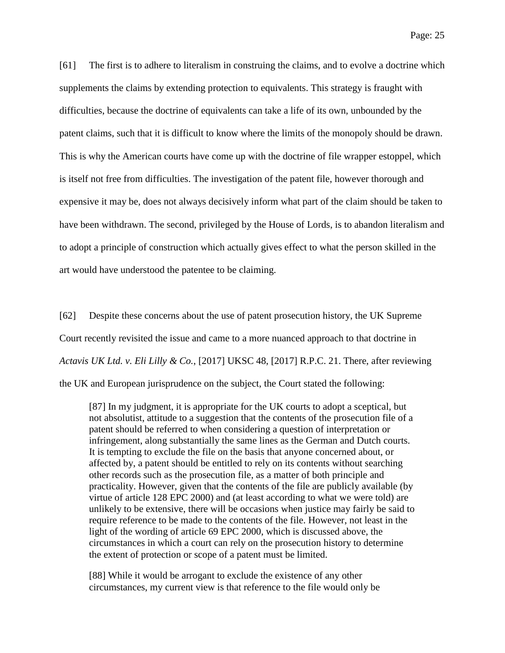[61] The first is to adhere to literalism in construing the claims, and to evolve a doctrine which supplements the claims by extending protection to equivalents. This strategy is fraught with difficulties, because the doctrine of equivalents can take a life of its own, unbounded by the patent claims, such that it is difficult to know where the limits of the monopoly should be drawn. This is why the American courts have come up with the doctrine of file wrapper estoppel, which is itself not free from difficulties. The investigation of the patent file, however thorough and expensive it may be, does not always decisively inform what part of the claim should be taken to have been withdrawn. The second, privileged by the House of Lords, is to abandon literalism and to adopt a principle of construction which actually gives effect to what the person skilled in the art would have understood the patentee to be claiming.

[62] Despite these concerns about the use of patent prosecution history, the UK Supreme Court recently revisited the issue and came to a more nuanced approach to that doctrine in *Actavis UK Ltd. v. Eli Lilly & Co.*, [2017] UKSC 48, [2017] R.P.C. 21. There, after reviewing the UK and European jurisprudence on the subject, the Court stated the following:

[87] In my judgment, it is appropriate for the UK courts to adopt a sceptical, but not absolutist, attitude to a suggestion that the contents of the prosecution file of a patent should be referred to when considering a question of interpretation or infringement, along substantially the same lines as the German and Dutch courts. It is tempting to exclude the file on the basis that anyone concerned about, or affected by, a patent should be entitled to rely on its contents without searching other records such as the prosecution file, as a matter of both principle and practicality. However, given that the contents of the file are publicly available (by virtue of article 128 EPC 2000) and (at least according to what we were told) are unlikely to be extensive, there will be occasions when justice may fairly be said to require reference to be made to the contents of the file. However, not least in the light of the wording of article 69 EPC 2000, which is discussed above, the circumstances in which a court can rely on the prosecution history to determine the extent of protection or scope of a patent must be limited.

[88] While it would be arrogant to exclude the existence of any other circumstances, my current view is that reference to the file would only be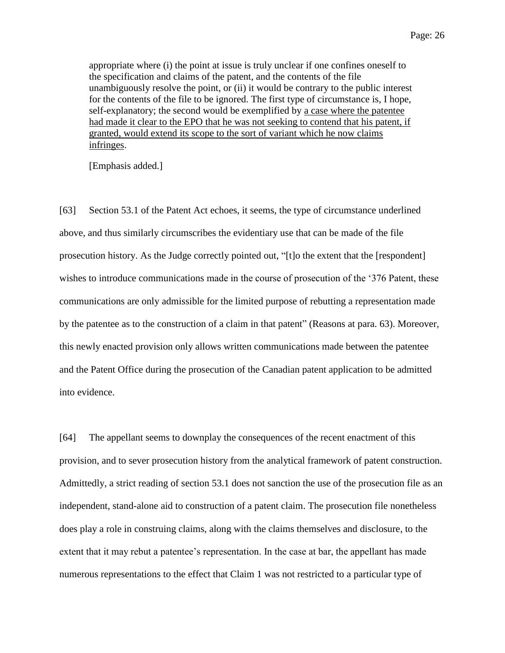appropriate where (i) the point at issue is truly unclear if one confines oneself to the specification and claims of the patent, and the contents of the file unambiguously resolve the point, or (ii) it would be contrary to the public interest for the contents of the file to be ignored. The first type of circumstance is, I hope, self-explanatory; the second would be exemplified by a case where the patentee had made it clear to the EPO that he was not seeking to contend that his patent, if granted, would extend its scope to the sort of variant which he now claims infringes.

[Emphasis added.]

[63] Section 53.1 of the Patent Act echoes, it seems, the type of circumstance underlined above, and thus similarly circumscribes the evidentiary use that can be made of the file prosecution history. As the Judge correctly pointed out, "[t]o the extent that the [respondent] wishes to introduce communications made in the course of prosecution of the '376 Patent, these communications are only admissible for the limited purpose of rebutting a representation made by the patentee as to the construction of a claim in that patent" (Reasons at para. 63). Moreover, this newly enacted provision only allows written communications made between the patentee and the Patent Office during the prosecution of the Canadian patent application to be admitted into evidence.

[64] The appellant seems to downplay the consequences of the recent enactment of this provision, and to sever prosecution history from the analytical framework of patent construction. Admittedly, a strict reading of section 53.1 does not sanction the use of the prosecution file as an independent, stand-alone aid to construction of a patent claim. The prosecution file nonetheless does play a role in construing claims, along with the claims themselves and disclosure, to the extent that it may rebut a patentee's representation. In the case at bar, the appellant has made numerous representations to the effect that Claim 1 was not restricted to a particular type of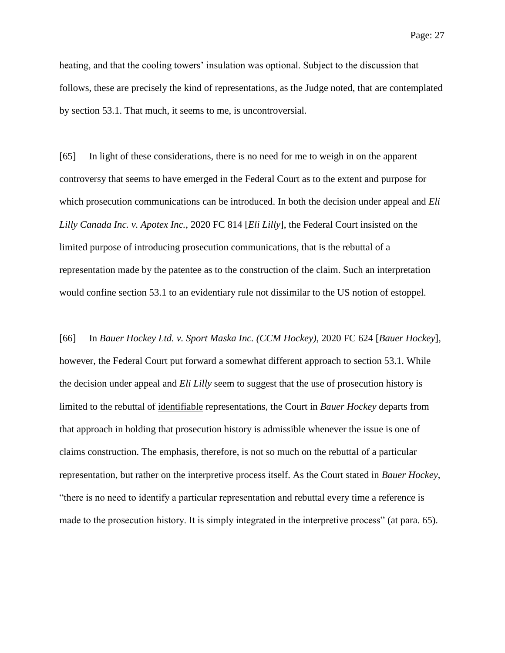heating, and that the cooling towers' insulation was optional. Subject to the discussion that follows, these are precisely the kind of representations, as the Judge noted, that are contemplated by section 53.1. That much, it seems to me, is uncontroversial.

[65] In light of these considerations, there is no need for me to weigh in on the apparent controversy that seems to have emerged in the Federal Court as to the extent and purpose for which prosecution communications can be introduced. In both the decision under appeal and *Eli Lilly Canada Inc. v. Apotex Inc.*, 2020 FC 814 [*Eli Lilly*], the Federal Court insisted on the limited purpose of introducing prosecution communications, that is the rebuttal of a representation made by the patentee as to the construction of the claim. Such an interpretation would confine section 53.1 to an evidentiary rule not dissimilar to the US notion of estoppel.

[66] In *Bauer Hockey Ltd. v. Sport Maska Inc. (CCM Hockey)*, 2020 FC 624 [*Bauer Hockey*], however, the Federal Court put forward a somewhat different approach to section 53.1. While the decision under appeal and *Eli Lilly* seem to suggest that the use of prosecution history is limited to the rebuttal of identifiable representations, the Court in *Bauer Hockey* departs from that approach in holding that prosecution history is admissible whenever the issue is one of claims construction. The emphasis, therefore, is not so much on the rebuttal of a particular representation, but rather on the interpretive process itself. As the Court stated in *Bauer Hockey*, "there is no need to identify a particular representation and rebuttal every time a reference is made to the prosecution history. It is simply integrated in the interpretive process" (at para. 65).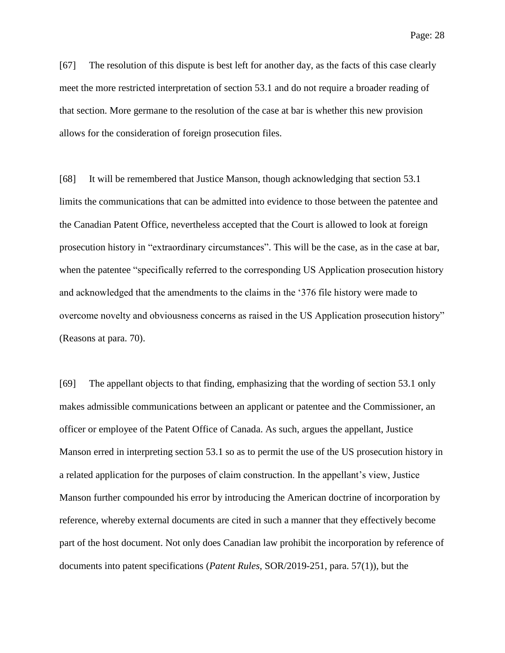[67] The resolution of this dispute is best left for another day, as the facts of this case clearly meet the more restricted interpretation of section 53.1 and do not require a broader reading of that section. More germane to the resolution of the case at bar is whether this new provision allows for the consideration of foreign prosecution files.

[68] It will be remembered that Justice Manson, though acknowledging that section 53.1 limits the communications that can be admitted into evidence to those between the patentee and the Canadian Patent Office, nevertheless accepted that the Court is allowed to look at foreign prosecution history in "extraordinary circumstances". This will be the case, as in the case at bar, when the patentee "specifically referred to the corresponding US Application prosecution history and acknowledged that the amendments to the claims in the '376 file history were made to overcome novelty and obviousness concerns as raised in the US Application prosecution history" (Reasons at para. 70).

[69] The appellant objects to that finding, emphasizing that the wording of section 53.1 only makes admissible communications between an applicant or patentee and the Commissioner, an officer or employee of the Patent Office of Canada. As such, argues the appellant, Justice Manson erred in interpreting section 53.1 so as to permit the use of the US prosecution history in a related application for the purposes of claim construction. In the appellant's view, Justice Manson further compounded his error by introducing the American doctrine of incorporation by reference, whereby external documents are cited in such a manner that they effectively become part of the host document. Not only does Canadian law prohibit the incorporation by reference of documents into patent specifications (*Patent Rules*, SOR/2019-251, para. 57(1)), but the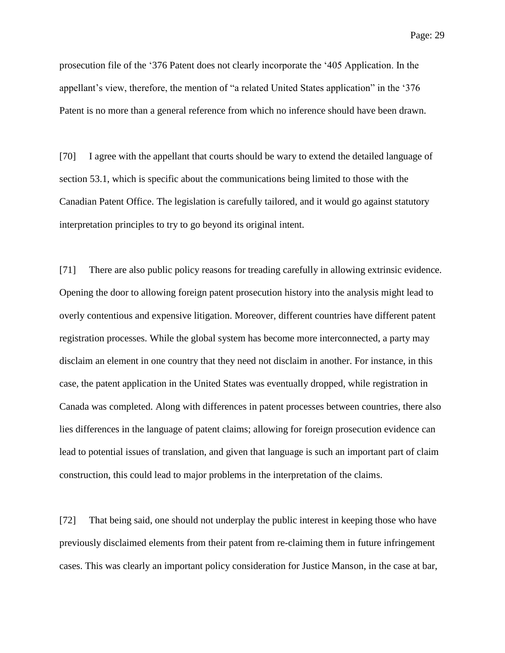prosecution file of the '376 Patent does not clearly incorporate the '405 Application. In the appellant's view, therefore, the mention of "a related United States application" in the '376 Patent is no more than a general reference from which no inference should have been drawn.

[70] I agree with the appellant that courts should be wary to extend the detailed language of section 53.1, which is specific about the communications being limited to those with the Canadian Patent Office. The legislation is carefully tailored, and it would go against statutory interpretation principles to try to go beyond its original intent.

[71] There are also public policy reasons for treading carefully in allowing extrinsic evidence. Opening the door to allowing foreign patent prosecution history into the analysis might lead to overly contentious and expensive litigation. Moreover, different countries have different patent registration processes. While the global system has become more interconnected, a party may disclaim an element in one country that they need not disclaim in another. For instance, in this case, the patent application in the United States was eventually dropped, while registration in Canada was completed. Along with differences in patent processes between countries, there also lies differences in the language of patent claims; allowing for foreign prosecution evidence can lead to potential issues of translation, and given that language is such an important part of claim construction, this could lead to major problems in the interpretation of the claims.

[72] That being said, one should not underplay the public interest in keeping those who have previously disclaimed elements from their patent from re-claiming them in future infringement cases. This was clearly an important policy consideration for Justice Manson, in the case at bar,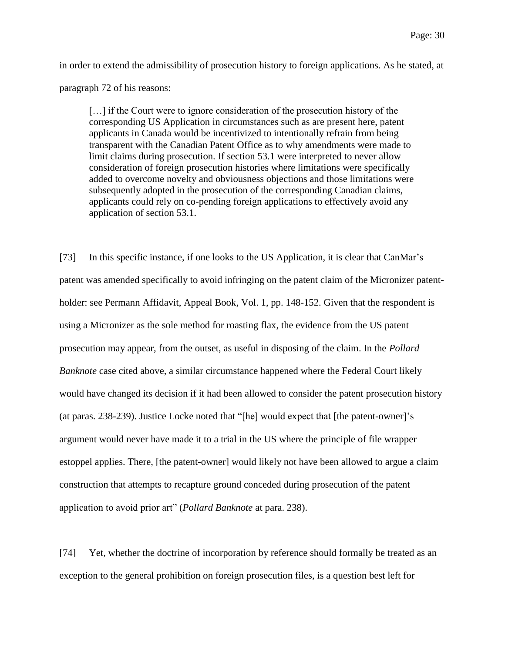in order to extend the admissibility of prosecution history to foreign applications. As he stated, at

#### paragraph 72 of his reasons:

[...] if the Court were to ignore consideration of the prosecution history of the corresponding US Application in circumstances such as are present here, patent applicants in Canada would be incentivized to intentionally refrain from being transparent with the Canadian Patent Office as to why amendments were made to limit claims during prosecution. If section 53.1 were interpreted to never allow consideration of foreign prosecution histories where limitations were specifically added to overcome novelty and obviousness objections and those limitations were subsequently adopted in the prosecution of the corresponding Canadian claims, applicants could rely on co-pending foreign applications to effectively avoid any application of section 53.1.

[73] In this specific instance, if one looks to the US Application, it is clear that CanMar's patent was amended specifically to avoid infringing on the patent claim of the Micronizer patentholder: see Permann Affidavit, Appeal Book, Vol. 1, pp. 148-152. Given that the respondent is using a Micronizer as the sole method for roasting flax, the evidence from the US patent prosecution may appear, from the outset, as useful in disposing of the claim. In the *Pollard Banknote* case cited above, a similar circumstance happened where the Federal Court likely would have changed its decision if it had been allowed to consider the patent prosecution history (at paras. 238-239). Justice Locke noted that "[he] would expect that [the patent-owner]'s argument would never have made it to a trial in the US where the principle of file wrapper estoppel applies. There, [the patent-owner] would likely not have been allowed to argue a claim construction that attempts to recapture ground conceded during prosecution of the patent application to avoid prior art" (*Pollard Banknote* at para. 238).

[74] Yet, whether the doctrine of incorporation by reference should formally be treated as an exception to the general prohibition on foreign prosecution files, is a question best left for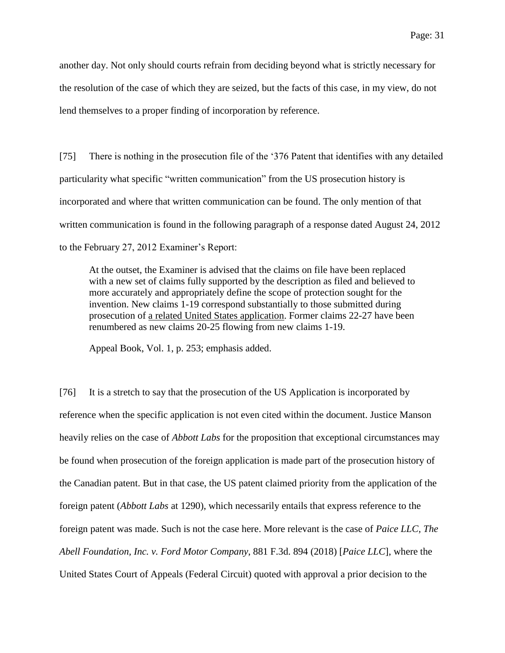another day. Not only should courts refrain from deciding beyond what is strictly necessary for the resolution of the case of which they are seized, but the facts of this case, in my view, do not lend themselves to a proper finding of incorporation by reference.

[75] There is nothing in the prosecution file of the '376 Patent that identifies with any detailed particularity what specific "written communication" from the US prosecution history is incorporated and where that written communication can be found. The only mention of that written communication is found in the following paragraph of a response dated August 24, 2012 to the February 27, 2012 Examiner's Report:

At the outset, the Examiner is advised that the claims on file have been replaced with a new set of claims fully supported by the description as filed and believed to more accurately and appropriately define the scope of protection sought for the invention. New claims 1-19 correspond substantially to those submitted during prosecution of <u>a related United States application</u>. Former claims 22-27 have been renumbered as new claims 20-25 flowing from new claims 1-19.

Appeal Book, Vol. 1, p. 253; emphasis added.

[76] It is a stretch to say that the prosecution of the US Application is incorporated by reference when the specific application is not even cited within the document. Justice Manson heavily relies on the case of *Abbott Labs* for the proposition that exceptional circumstances may be found when prosecution of the foreign application is made part of the prosecution history of the Canadian patent. But in that case, the US patent claimed priority from the application of the foreign patent (*Abbott Labs* at 1290), which necessarily entails that express reference to the foreign patent was made. Such is not the case here. More relevant is the case of *Paice LLC, The Abell Foundation, Inc. v. Ford Motor Company*, 881 F.3d. 894 (2018) [*Paice LLC*], where the United States Court of Appeals (Federal Circuit) quoted with approval a prior decision to the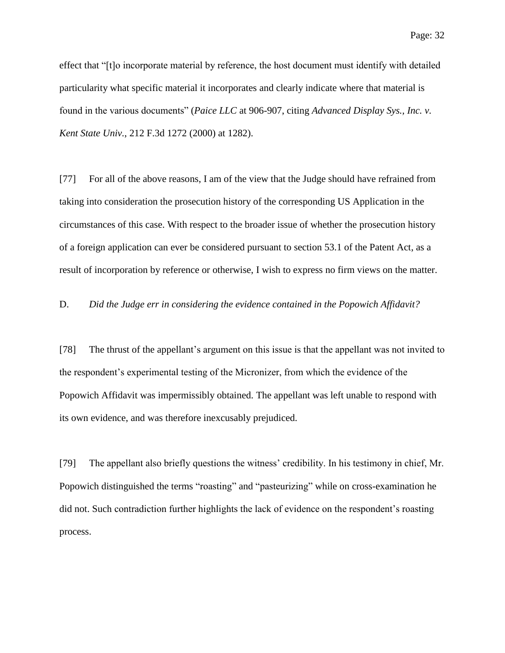effect that "[t]o incorporate material by reference, the host document must identify with detailed particularity what specific material it incorporates and clearly indicate where that material is found in the various documents" (*Paice LLC* at 906-907, citing *Advanced Display Sys., Inc. v. Kent State Univ.*, 212 F.3d 1272 (2000) at 1282).

[77] For all of the above reasons, I am of the view that the Judge should have refrained from taking into consideration the prosecution history of the corresponding US Application in the circumstances of this case. With respect to the broader issue of whether the prosecution history of a foreign application can ever be considered pursuant to section 53.1 of the Patent Act, as a result of incorporation by reference or otherwise, I wish to express no firm views on the matter.

D. *Did the Judge err in considering the evidence contained in the Popowich Affidavit?*

[78] The thrust of the appellant's argument on this issue is that the appellant was not invited to the respondent's experimental testing of the Micronizer, from which the evidence of the Popowich Affidavit was impermissibly obtained. The appellant was left unable to respond with its own evidence, and was therefore inexcusably prejudiced.

[79] The appellant also briefly questions the witness' credibility. In his testimony in chief, Mr. Popowich distinguished the terms "roasting" and "pasteurizing" while on cross-examination he did not. Such contradiction further highlights the lack of evidence on the respondent's roasting process.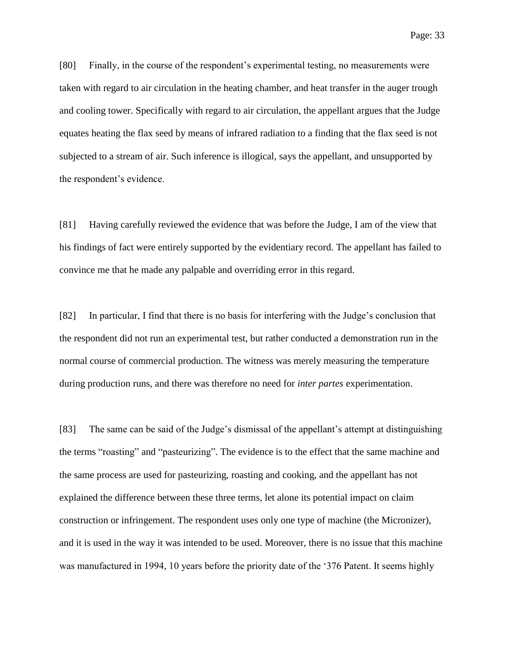[80] Finally, in the course of the respondent's experimental testing, no measurements were taken with regard to air circulation in the heating chamber, and heat transfer in the auger trough and cooling tower. Specifically with regard to air circulation, the appellant argues that the Judge equates heating the flax seed by means of infrared radiation to a finding that the flax seed is not subjected to a stream of air. Such inference is illogical, says the appellant, and unsupported by the respondent's evidence.

[81] Having carefully reviewed the evidence that was before the Judge, I am of the view that his findings of fact were entirely supported by the evidentiary record. The appellant has failed to convince me that he made any palpable and overriding error in this regard.

[82] In particular, I find that there is no basis for interfering with the Judge's conclusion that the respondent did not run an experimental test, but rather conducted a demonstration run in the normal course of commercial production. The witness was merely measuring the temperature during production runs, and there was therefore no need for *inter partes* experimentation.

[83] The same can be said of the Judge's dismissal of the appellant's attempt at distinguishing the terms "roasting" and "pasteurizing". The evidence is to the effect that the same machine and the same process are used for pasteurizing, roasting and cooking, and the appellant has not explained the difference between these three terms, let alone its potential impact on claim construction or infringement. The respondent uses only one type of machine (the Micronizer), and it is used in the way it was intended to be used. Moreover, there is no issue that this machine was manufactured in 1994, 10 years before the priority date of the '376 Patent. It seems highly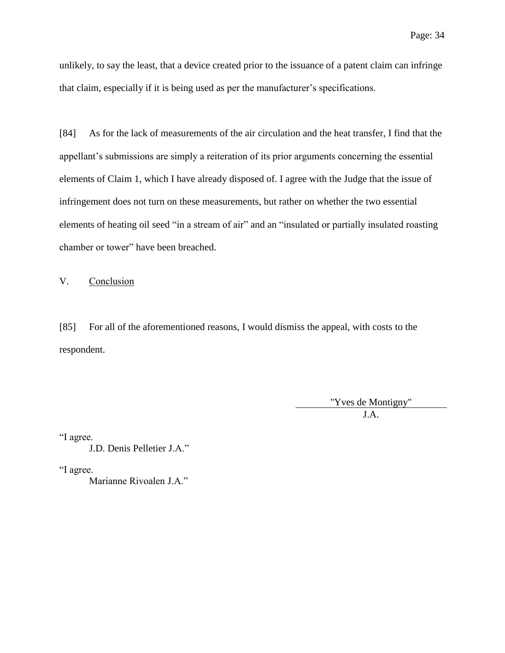unlikely, to say the least, that a device created prior to the issuance of a patent claim can infringe that claim, especially if it is being used as per the manufacturer's specifications.

[84] As for the lack of measurements of the air circulation and the heat transfer, I find that the appellant's submissions are simply a reiteration of its prior arguments concerning the essential elements of Claim 1, which I have already disposed of. I agree with the Judge that the issue of infringement does not turn on these measurements, but rather on whether the two essential elements of heating oil seed "in a stream of air" and an "insulated or partially insulated roasting chamber or tower" have been breached.

V. Conclusion

[85] For all of the aforementioned reasons, I would dismiss the appeal, with costs to the respondent.

> "Yves de Montigny" J.A.

"I agree.

J.D. Denis Pelletier J.A."

"I agree.

Marianne Rivoalen J.A."